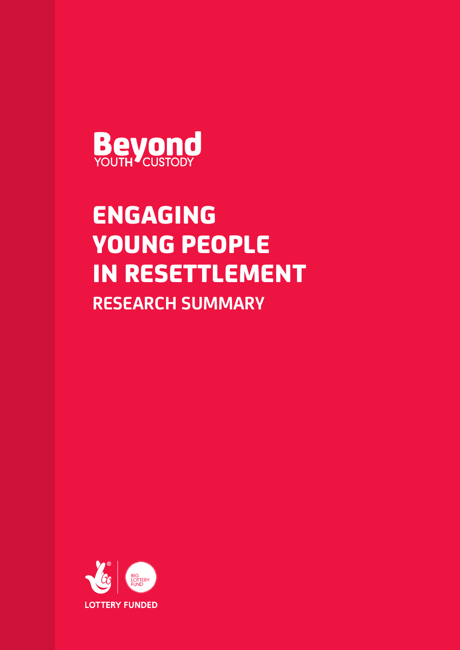

# ENGAGING YOUNG PEOPLE IN RESETTLEMENT **RESEARCH SUMMARY**

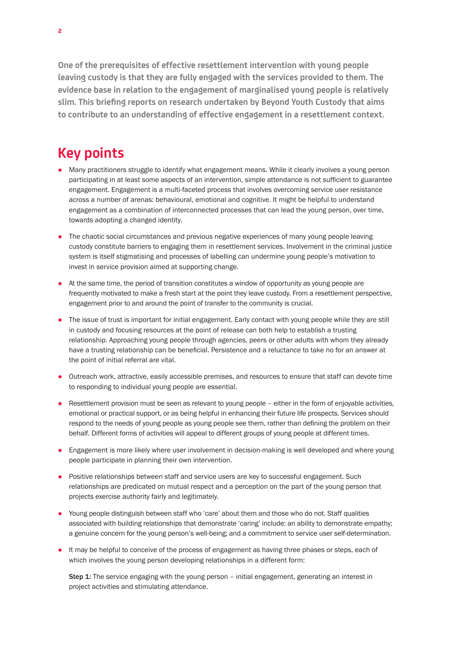**One of the prerequisites of effective resettlement intervention with young people leaving custody is that they are fully engaged with the services provided to them. The evidence base in relation to the engagement of marginalised young people is relatively slim. This briefing reports on research undertaken by Beyond Youth Custody that aims to contribute to an understanding of effective engagement in a resettlement context.** 

### **Key points**

- Many practitioners struggle to identify what engagement means. While it clearly involves a young person participating in at least some aspects of an intervention, simple attendance is not sufficient to guarantee engagement. Engagement is a multi-faceted process that involves overcoming service user resistance across a number of arenas: behavioural, emotional and cognitive. It might be helpful to understand engagement as a combination of interconnected processes that can lead the young person, over time, towards adopting a changed identity.
- The chaotic social circumstances and previous negative experiences of many young people leaving custody constitute barriers to engaging them in resettlement services. Involvement in the criminal justice system is itself stigmatising and processes of labelling can undermine young people's motivation to invest in service provision aimed at supporting change.
- $\bullet$  At the same time, the period of transition constitutes a window of opportunity as young people are frequently motivated to make a fresh start at the point they leave custody. From a resettlement perspective, engagement prior to and around the point of transfer to the community is crucial.
- The issue of trust is important for initial engagement. Early contact with young people while they are still in custody and focusing resources at the point of release can both help to establish a trusting relationship. Approaching young people through agencies, peers or other adults with whom they already have a trusting relationship can be beneficial. Persistence and a reluctance to take no for an answer at the point of initial referral are vital.
- Outreach work, attractive, easily accessible premises, and resources to ensure that staff can devote time to responding to individual young people are essential.
- Resettlement provision must be seen as relevant to young people either in the form of enjoyable activities, emotional or practical support, or as being helpful in enhancing their future life prospects. Services should respond to the needs of young people as young people see them, rather than defining the problem on their behalf. Different forms of activities will appeal to different groups of young people at different times.
- **Engagement is more likely where user involvement in decision-making is well developed and where young** people participate in planning their own intervention.
- Positive relationships between staff and service users are key to successful engagement. Such relationships are predicated on mutual respect and a perception on the part of the young person that projects exercise authority fairly and legitimately.
- Young people distinguish between staff who 'care' about them and those who do not. Staff qualities associated with building relationships that demonstrate 'caring' include: an ability to demonstrate empathy; a genuine concern for the young person's well-being; and a commitment to service user self-determination.
- It may be helpful to conceive of the process of engagement as having three phases or steps, each of which involves the young person developing relationships in a different form:

Step 1: The service engaging with the young person - initial engagement, generating an interest in project activities and stimulating attendance.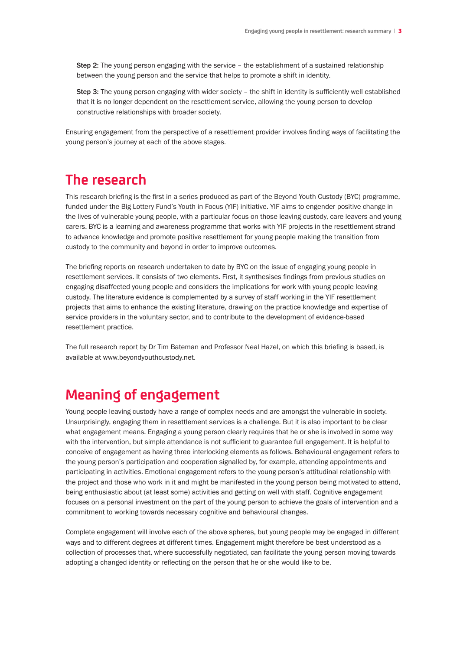Step 2: The young person engaging with the service – the establishment of a sustained relationship between the young person and the service that helps to promote a shift in identity.

Step 3: The young person engaging with wider society – the shift in identity is sufficiently well established that it is no longer dependent on the resettlement service, allowing the young person to develop constructive relationships with broader society.

Ensuring engagement from the perspective of a resettlement provider involves finding ways of facilitating the young person's journey at each of the above stages.

#### **The research**

This research briefing is the first in a series produced as part of the Beyond Youth Custody (BYC) programme, funded under the Big Lottery Fund's Youth in Focus (YIF) initiative. YIF aims to engender positive change in the lives of vulnerable young people, with a particular focus on those leaving custody, care leavers and young carers. BYC is a learning and awareness programme that works with YIF projects in the resettlement strand to advance knowledge and promote positive resettlement for young people making the transition from custody to the community and beyond in order to improve outcomes.

The briefing reports on research undertaken to date by BYC on the issue of engaging young people in resettlement services. It consists of two elements. First, it synthesises findings from previous studies on engaging disaffected young people and considers the implications for work with young people leaving custody. The literature evidence is complemented by a survey of staff working in the YIF resettlement projects that aims to enhance the existing literature, drawing on the practice knowledge and expertise of service providers in the voluntary sector, and to contribute to the development of evidence-based resettlement practice.

The full research report by Dr Tim Bateman and Professor Neal Hazel, on which this briefing is based, is available at www.beyondyouthcustody.net.

### **Meaning of engagement**

Young people leaving custody have a range of complex needs and are amongst the vulnerable in society. Unsurprisingly, engaging them in resettlement services is a challenge. But it is also important to be clear what engagement means. Engaging a young person clearly requires that he or she is involved in some way with the intervention, but simple attendance is not sufficient to guarantee full engagement. It is helpful to conceive of engagement as having three interlocking elements as follows. Behavioural engagement refers to the young person's participation and cooperation signalled by, for example, attending appointments and participating in activities. Emotional engagement refers to the young person's attitudinal relationship with the project and those who work in it and might be manifested in the young person being motivated to attend, being enthusiastic about (at least some) activities and getting on well with staff. Cognitive engagement focuses on a personal investment on the part of the young person to achieve the goals of intervention and a commitment to working towards necessary cognitive and behavioural changes.

Complete engagement will involve each of the above spheres, but young people may be engaged in different ways and to different degrees at different times. Engagement might therefore be best understood as a collection of processes that, where successfully negotiated, can facilitate the young person moving towards adopting a changed identity or reflecting on the person that he or she would like to be.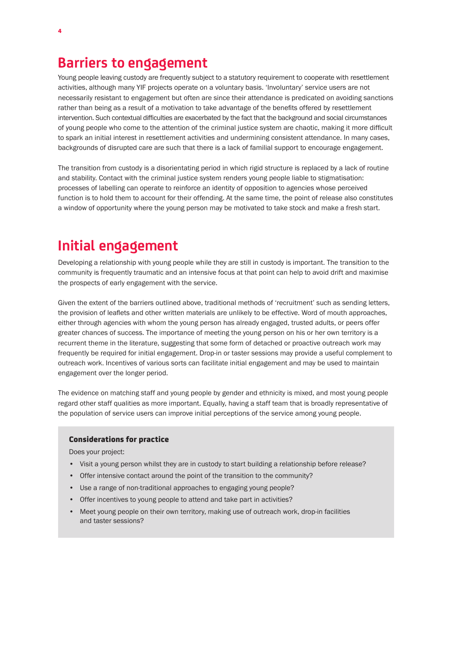#### **Barriers to engagement**

Young people leaving custody are frequently subject to a statutory requirement to cooperate with resettlement activities, although many YIF projects operate on a voluntary basis. 'Involuntary' service users are not necessarily resistant to engagement but often are since their attendance is predicated on avoiding sanctions rather than being as a result of a motivation to take advantage of the benefits offered by resettlement intervention. Such contextual difficulties are exacerbated by the fact that the background and social circumstances of young people who come to the attention of the criminal justice system are chaotic, making it more difficult to spark an initial interest in resettlement activities and undermining consistent attendance. In many cases, backgrounds of disrupted care are such that there is a lack of familial support to encourage engagement.

The transition from custody is a disorientating period in which rigid structure is replaced by a lack of routine and stability. Contact with the criminal justice system renders young people liable to stigmatisation: processes of labelling can operate to reinforce an identity of opposition to agencies whose perceived function is to hold them to account for their offending. At the same time, the point of release also constitutes a window of opportunity where the young person may be motivated to take stock and make a fresh start.

# **Initial engagement**

Developing a relationship with young people while they are still in custody is important. The transition to the community is frequently traumatic and an intensive focus at that point can help to avoid drift and maximise the prospects of early engagement with the service.

Given the extent of the barriers outlined above, traditional methods of 'recruitment' such as sending letters, the provision of leaflets and other written materials are unlikely to be effective. Word of mouth approaches, either through agencies with whom the young person has already engaged, trusted adults, or peers offer greater chances of success. The importance of meeting the young person on his or her own territory is a recurrent theme in the literature, suggesting that some form of detached or proactive outreach work may frequently be required for initial engagement. Drop-in or taster sessions may provide a useful complement to outreach work. Incentives of various sorts can facilitate initial engagement and may be used to maintain engagement over the longer period.

The evidence on matching staff and young people by gender and ethnicity is mixed, and most young people regard other staff qualities as more important. Equally, having a staff team that is broadly representative of the population of service users can improve initial perceptions of the service among young people.

#### Considerations for practice

Does your project:

- Visit a young person whilst they are in custody to start building a relationship before release?
- Offer intensive contact around the point of the transition to the community?
- Use a range of non-traditional approaches to engaging young people?
- Offer incentives to young people to attend and take part in activities?
- Meet young people on their own territory, making use of outreach work, drop-in facilities and taster sessions?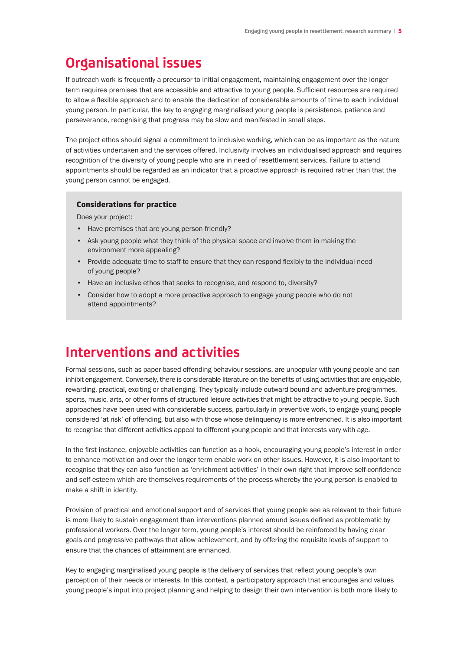### **Organisational issues**

If outreach work is frequently a precursor to initial engagement, maintaining engagement over the longer term requires premises that are accessible and attractive to young people. Sufficient resources are required to allow a flexible approach and to enable the dedication of considerable amounts of time to each individual young person. In particular, the key to engaging marginalised young people is persistence, patience and perseverance, recognising that progress may be slow and manifested in small steps.

The project ethos should signal a commitment to inclusive working, which can be as important as the nature of activities undertaken and the services offered. Inclusivity involves an individualised approach and requires recognition of the diversity of young people who are in need of resettlement services. Failure to attend appointments should be regarded as an indicator that a proactive approach is required rather than that the young person cannot be engaged.

#### Considerations for practice

Does your project:

- Have premises that are young person friendly?
- Ask young people what they think of the physical space and involve them in making the environment more appealing?
- Provide adequate time to staff to ensure that they can respond flexibly to the individual need of young people?
- Have an inclusive ethos that seeks to recognise, and respond to, diversity?
- Consider how to adopt a more proactive approach to engage young people who do not attend appointments?

#### **Interventions and activities**

Formal sessions, such as paper-based offending behaviour sessions, are unpopular with young people and can inhibit engagement. Conversely, there is considerable literature on the benefits of using activities that are enjoyable, rewarding, practical, exciting or challenging. They typically include outward bound and adventure programmes, sports, music, arts, or other forms of structured leisure activities that might be attractive to young people. Such approaches have been used with considerable success, particularly in preventive work, to engage young people considered 'at risk' of offending, but also with those whose delinquency is more entrenched. It is also important to recognise that different activities appeal to different young people and that interests vary with age.

In the first instance, enjoyable activities can function as a hook, encouraging young people's interest in order to enhance motivation and over the longer term enable work on other issues. However, it is also important to recognise that they can also function as 'enrichment activities' in their own right that improve self-confidence and self-esteem which are themselves requirements of the process whereby the young person is enabled to make a shift in identity.

Provision of practical and emotional support and of services that young people see as relevant to their future is more likely to sustain engagement than interventions planned around issues defined as problematic by professional workers. Over the longer term, young people's interest should be reinforced by having clear goals and progressive pathways that allow achievement, and by offering the requisite levels of support to ensure that the chances of attainment are enhanced.

Key to engaging marginalised young people is the delivery of services that reflect young people's own perception of their needs or interests. In this context, a participatory approach that encourages and values young people's input into project planning and helping to design their own intervention is both more likely to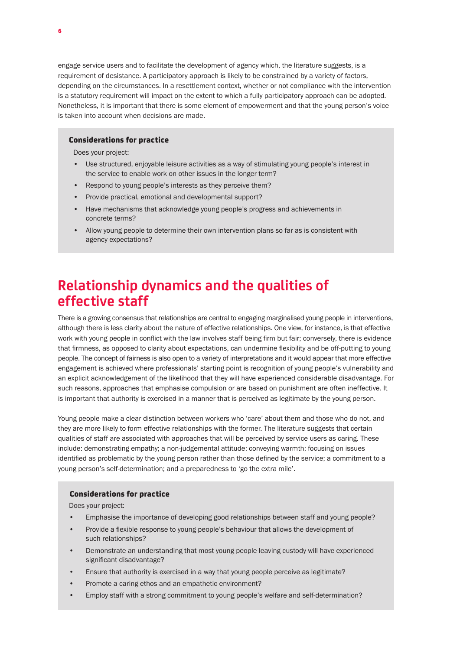engage service users and to facilitate the development of agency which, the literature suggests, is a requirement of desistance. A participatory approach is likely to be constrained by a variety of factors, depending on the circumstances. In a resettlement context, whether or not compliance with the intervention is a statutory requirement will impact on the extent to which a fully participatory approach can be adopted. Nonetheless, it is important that there is some element of empowerment and that the young person's voice is taken into account when decisions are made.

#### Considerations for practice

Does your project:

- Use structured, enjoyable leisure activities as a way of stimulating young people's interest in the service to enable work on other issues in the longer term?
- Respond to young people's interests as they perceive them?
- Provide practical, emotional and developmental support?
- Have mechanisms that acknowledge young people's progress and achievements in concrete terms?
- Allow young people to determine their own intervention plans so far as is consistent with agency expectations?

### **Relationship dynamics and the qualities of effective staff**

There is a growing consensus that relationships are central to engaging marginalised young people in interventions, although there is less clarity about the nature of effective relationships. One view, for instance, is that effective work with young people in conflict with the law involves staff being firm but fair; conversely, there is evidence that firmness, as opposed to clarity about expectations, can undermine flexibility and be off-putting to young people. The concept of fairness is also open to a variety of interpretations and it would appear that more effective engagement is achieved where professionals' starting point is recognition of young people's vulnerability and an explicit acknowledgement of the likelihood that they will have experienced considerable disadvantage. For such reasons, approaches that emphasise compulsion or are based on punishment are often ineffective. It is important that authority is exercised in a manner that is perceived as legitimate by the young person.

Young people make a clear distinction between workers who 'care' about them and those who do not, and they are more likely to form effective relationships with the former. The literature suggests that certain qualities of staff are associated with approaches that will be perceived by service users as caring. These include: demonstrating empathy; a non-judgemental attitude; conveying warmth; focusing on issues identified as problematic by the young person rather than those defined by the service; a commitment to a young person's self-determination; and a preparedness to 'go the extra mile'.

#### Considerations for practice

Does your project:

- Emphasise the importance of developing good relationships between staff and young people?
- Provide a flexible response to young people's behaviour that allows the development of such relationships?
- Demonstrate an understanding that most young people leaving custody will have experienced significant disadvantage?
- Ensure that authority is exercised in a way that young people perceive as legitimate?
- Promote a caring ethos and an empathetic environment?
- Employ staff with a strong commitment to young people's welfare and self-determination?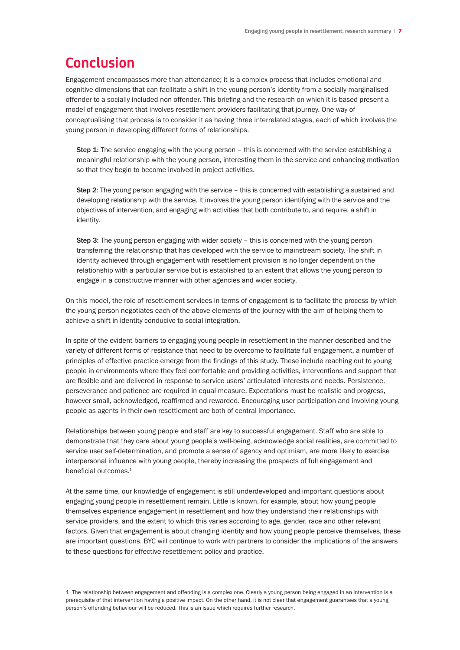## **Conclusion**

Engagement encompasses more than attendance; it is a complex process that includes emotional and cognitive dimensions that can facilitate a shift in the young person's identity from a socially marginalised offender to a socially included non-offender. This briefing and the research on which it is based present a model of engagement that involves resettlement providers facilitating that journey. One way of conceptualising that process is to consider it as having three interrelated stages, each of which involves the young person in developing different forms of relationships.

Step 1: The service engaging with the young person – this is concerned with the service establishing a meaningful relationship with the young person, interesting them in the service and enhancing motivation so that they begin to become involved in project activities.

Step 2: The young person engaging with the service – this is concerned with establishing a sustained and developing relationship with the service. It involves the young person identifying with the service and the objectives of intervention, and engaging with activities that both contribute to, and require, a shift in identity.

Step 3: The young person engaging with wider society – this is concerned with the young person transferring the relationship that has developed with the service to mainstream society. The shift in identity achieved through engagement with resettlement provision is no longer dependent on the relationship with a particular service but is established to an extent that allows the young person to engage in a constructive manner with other agencies and wider society.

On this model, the role of resettlement services in terms of engagement is to facilitate the process by which the young person negotiates each of the above elements of the journey with the aim of helping them to achieve a shift in identity conducive to social integration.

In spite of the evident barriers to engaging young people in resettlement in the manner described and the variety of different forms of resistance that need to be overcome to facilitate full engagement, a number of principles of effective practice emerge from the findings of this study. These include reaching out to young people in environments where they feel comfortable and providing activities, interventions and support that are flexible and are delivered in response to service users' articulated interests and needs. Persistence, perseverance and patience are required in equal measure. Expectations must be realistic and progress, however small, acknowledged, reaffirmed and rewarded. Encouraging user participation and involving young people as agents in their own resettlement are both of central importance.

Relationships between young people and staff are key to successful engagement. Staff who are able to demonstrate that they care about young people's well-being, acknowledge social realities, are committed to service user self-determination, and promote a sense of agency and optimism, are more likely to exercise interpersonal influence with young people, thereby increasing the prospects of full engagement and beneficial outcomes 1

At the same time, our knowledge of engagement is still underdeveloped and important questions about engaging young people in resettlement remain. Little is known, for example, about how young people themselves experience engagement in resettlement and how they understand their relationships with service providers, and the extent to which this varies according to age, gender, race and other relevant factors. Given that engagement is about changing identity and how young people perceive themselves, these are important questions. BYC will continue to work with partners to consider the implications of the answers to these questions for effective resettlement policy and practice.

1 The relationship between engagement and offending is a complex one. Clearly a young person being engaged in an intervention is a prerequisite of that intervention having a positive impact. On the other hand, it is not clear that engagement guarantees that a young person's offending behaviour will be reduced. This is an issue which requires further research.